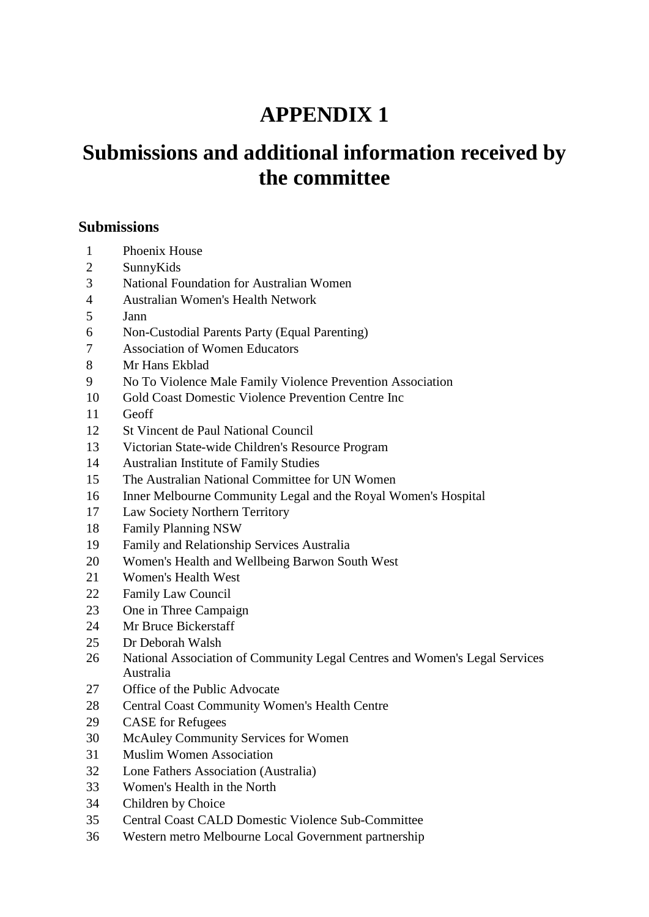# **APPENDIX 1**

# **Submissions and additional information received by the committee**

#### **Submissions**

- Phoenix House
- SunnyKids
- National Foundation for Australian Women
- Australian Women's Health Network
- Jann
- Non-Custodial Parents Party (Equal Parenting)
- Association of Women Educators
- Mr Hans Ekblad
- No To Violence Male Family Violence Prevention Association
- Gold Coast Domestic Violence Prevention Centre Inc
- Geoff
- St Vincent de Paul National Council
- Victorian State-wide Children's Resource Program
- Australian Institute of Family Studies
- The Australian National Committee for UN Women
- Inner Melbourne Community Legal and the Royal Women's Hospital
- Law Society Northern Territory
- Family Planning NSW
- Family and Relationship Services Australia
- Women's Health and Wellbeing Barwon South West
- Women's Health West
- Family Law Council
- One in Three Campaign
- Mr Bruce Bickerstaff
- Dr Deborah Walsh
- National Association of Community Legal Centres and Women's Legal Services Australia
- Office of the Public Advocate
- Central Coast Community Women's Health Centre
- CASE for Refugees
- McAuley Community Services for Women
- Muslim Women Association
- Lone Fathers Association (Australia)
- Women's Health in the North
- Children by Choice
- Central Coast CALD Domestic Violence Sub-Committee
- Western metro Melbourne Local Government partnership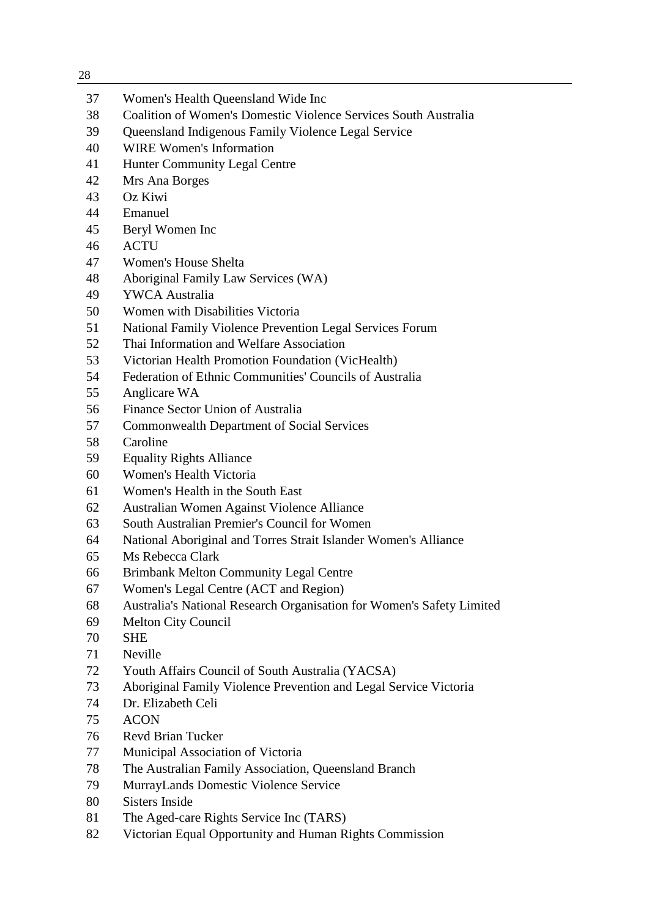| <br>× |             |
|-------|-------------|
|       |             |
|       | I<br>×<br>٧ |

| 28 |                                                                       |
|----|-----------------------------------------------------------------------|
| 37 | Women's Health Queensland Wide Inc                                    |
| 38 | Coalition of Women's Domestic Violence Services South Australia       |
| 39 | Queensland Indigenous Family Violence Legal Service                   |
| 40 | <b>WIRE Women's Information</b>                                       |
| 41 | Hunter Community Legal Centre                                         |
| 42 | Mrs Ana Borges                                                        |
| 43 | Oz Kiwi                                                               |
| 44 | Emanuel                                                               |
| 45 | Beryl Women Inc                                                       |
| 46 | <b>ACTU</b>                                                           |
| 47 | Women's House Shelta                                                  |
| 48 | Aboriginal Family Law Services (WA)                                   |
| 49 | <b>YWCA Australia</b>                                                 |
| 50 | Women with Disabilities Victoria                                      |
| 51 | National Family Violence Prevention Legal Services Forum              |
| 52 | Thai Information and Welfare Association                              |
| 53 | Victorian Health Promotion Foundation (VicHealth)                     |
| 54 | Federation of Ethnic Communities' Councils of Australia               |
| 55 | Anglicare WA                                                          |
| 56 | Finance Sector Union of Australia                                     |
| 57 | <b>Commonwealth Department of Social Services</b>                     |
| 58 | Caroline                                                              |
| 59 | <b>Equality Rights Alliance</b>                                       |
| 60 | Women's Health Victoria                                               |
| 61 | Women's Health in the South East                                      |
| 62 | Australian Women Against Violence Alliance                            |
| 63 | South Australian Premier's Council for Women                          |
| 64 | National Aboriginal and Torres Strait Islander Women's Alliance       |
| 65 | Ms Rebecca Clark                                                      |
| 66 | <b>Brimbank Melton Community Legal Centre</b>                         |
| 67 | Women's Legal Centre (ACT and Region)                                 |
| 68 | Australia's National Research Organisation for Women's Safety Limited |
| 69 | Melton City Council                                                   |
| 70 | <b>SHE</b>                                                            |
| 71 | <b>Neville</b>                                                        |
| 72 | Youth Affairs Council of South Australia (YACSA)                      |
| 73 | Aboriginal Family Violence Prevention and Legal Service Victoria      |
| 74 | Dr. Elizabeth Celi                                                    |
| 75 | <b>ACON</b>                                                           |
| 76 | <b>Revd Brian Tucker</b>                                              |
| 77 | Municipal Association of Victoria                                     |
| 78 | The Australian Family Association, Queensland Branch                  |
| 79 | MurrayLands Domestic Violence Service                                 |
| 80 | <b>Sisters Inside</b>                                                 |
| 81 | The Aged-care Rights Service Inc (TARS)                               |
| 82 | Victorian Equal Opportunity and Human Rights Commission               |
|    |                                                                       |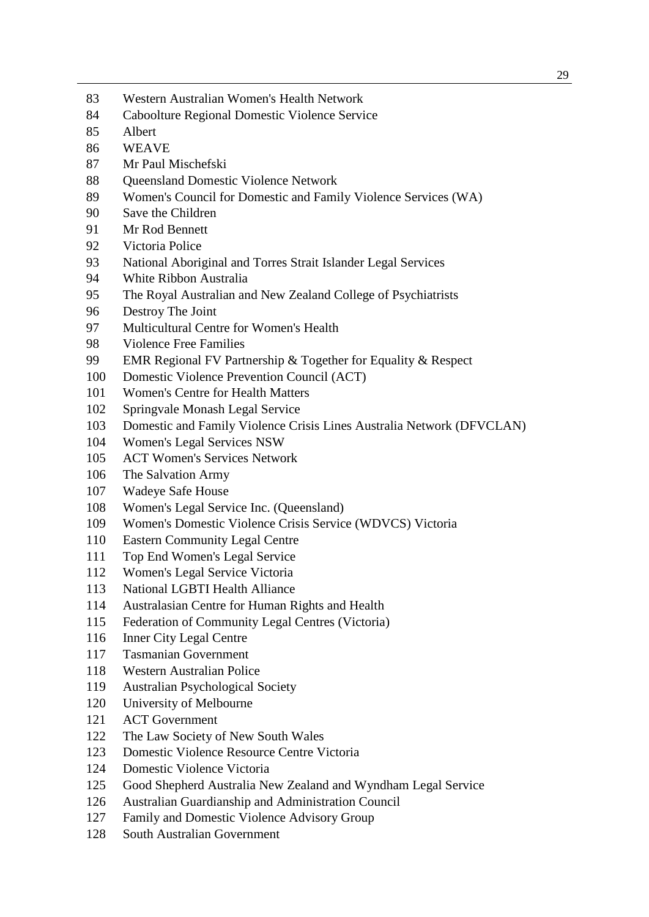- Western Australian Women's Health Network
- Caboolture Regional Domestic Violence Service
- Albert
- WEAVE
- Mr Paul Mischefski
- 88 Oueensland Domestic Violence Network
- Women's Council for Domestic and Family Violence Services (WA)
- Save the Children
- Mr Rod Bennett
- Victoria Police
- National Aboriginal and Torres Strait Islander Legal Services
- White Ribbon Australia
- The Royal Australian and New Zealand College of Psychiatrists
- Destroy The Joint
- Multicultural Centre for Women's Health
- Violence Free Families
- EMR Regional FV Partnership & Together for Equality & Respect
- Domestic Violence Prevention Council (ACT)
- Women's Centre for Health Matters
- Springvale Monash Legal Service
- Domestic and Family Violence Crisis Lines Australia Network (DFVCLAN)
- Women's Legal Services NSW
- ACT Women's Services Network
- The Salvation Army
- Wadeye Safe House
- Women's Legal Service Inc. (Queensland)
- Women's Domestic Violence Crisis Service (WDVCS) Victoria
- Eastern Community Legal Centre
- Top End Women's Legal Service
- Women's Legal Service Victoria
- National LGBTI Health Alliance
- Australasian Centre for Human Rights and Health
- Federation of Community Legal Centres (Victoria)
- Inner City Legal Centre
- Tasmanian Government
- Western Australian Police
- Australian Psychological Society
- University of Melbourne
- ACT Government
- The Law Society of New South Wales
- Domestic Violence Resource Centre Victoria
- Domestic Violence Victoria
- Good Shepherd Australia New Zealand and Wyndham Legal Service
- Australian Guardianship and Administration Council
- Family and Domestic Violence Advisory Group
- South Australian Government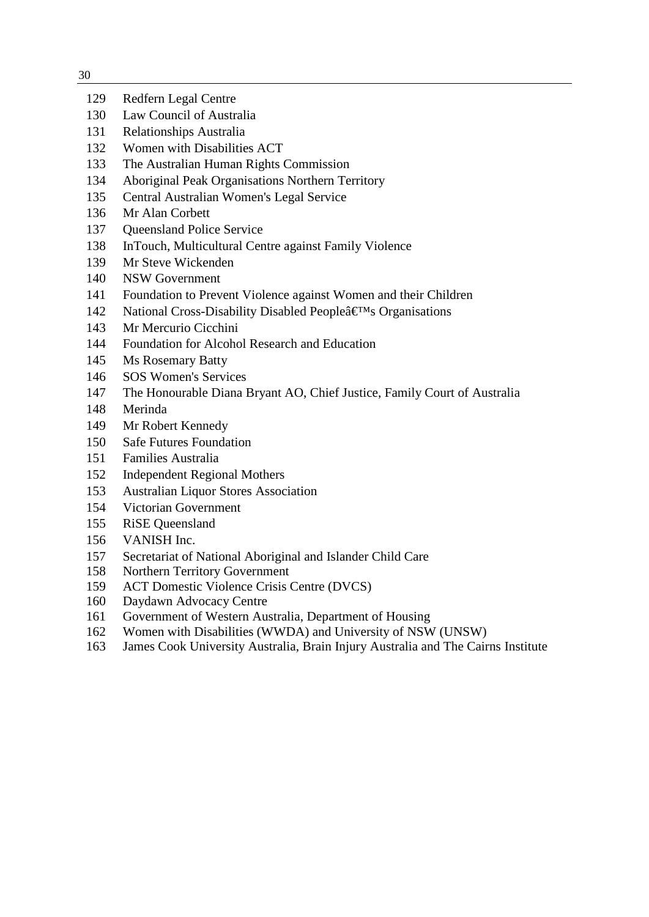| ۰.          |          |
|-------------|----------|
| I<br>٠<br>× | ۰.<br>v. |

| 129 | Redfern Legal Centre |  |
|-----|----------------------|--|
|     |                      |  |

- Law Council of Australia
- Relationships Australia
- Women with Disabilities ACT
- The Australian Human Rights Commission
- Aboriginal Peak Organisations Northern Territory
- Central Australian Women's Legal Service
- Mr Alan Corbett
- Queensland Police Service
- InTouch, Multicultural Centre against Family Violence
- Mr Steve Wickenden
- NSW Government
- Foundation to Prevent Violence against Women and their Children
- 142 National Cross-Disability Disabled Peopleâ€<sup>M</sup>s Organisations
- Mr Mercurio Cicchini
- Foundation for Alcohol Research and Education
- Ms Rosemary Batty
- SOS Women's Services
- The Honourable Diana Bryant AO, Chief Justice, Family Court of Australia
- Merinda
- Mr Robert Kennedy
- Safe Futures Foundation
- Families Australia
- Independent Regional Mothers
- Australian Liquor Stores Association
- Victorian Government
- RiSE Queensland
- VANISH Inc.
- Secretariat of National Aboriginal and Islander Child Care
- Northern Territory Government
- ACT Domestic Violence Crisis Centre (DVCS)
- Daydawn Advocacy Centre
- Government of Western Australia, Department of Housing
- Women with Disabilities (WWDA) and University of NSW (UNSW)
- James Cook University Australia, Brain Injury Australia and The Cairns Institute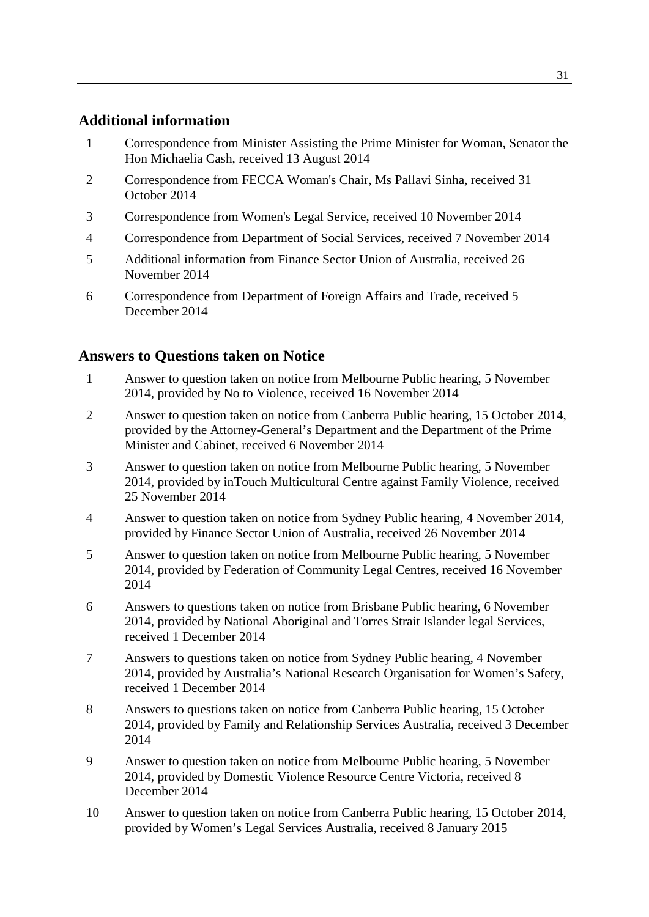## **Additional information**

- 1 Correspondence from Minister Assisting the Prime Minister for Woman, Senator the Hon Michaelia Cash, received 13 August 2014
- 2 Correspondence from FECCA Woman's Chair, Ms Pallavi Sinha, received 31 October 2014
- 3 Correspondence from Women's Legal Service, received 10 November 2014
- 4 Correspondence from Department of Social Services, received 7 November 2014
- 5 Additional information from Finance Sector Union of Australia, received 26 November 2014
- 6 Correspondence from Department of Foreign Affairs and Trade, received 5 December 2014

## **Answers to Questions taken on Notice**

- 1 Answer to question taken on notice from Melbourne Public hearing, 5 November 2014, provided by No to Violence, received 16 November 2014
- 2 Answer to question taken on notice from Canberra Public hearing, 15 October 2014, provided by the Attorney-General's Department and the Department of the Prime Minister and Cabinet, received 6 November 2014
- 3 Answer to question taken on notice from Melbourne Public hearing, 5 November 2014, provided by inTouch Multicultural Centre against Family Violence, received 25 November 2014
- 4 Answer to question taken on notice from Sydney Public hearing, 4 November 2014, provided by Finance Sector Union of Australia, received 26 November 2014
- 5 Answer to question taken on notice from Melbourne Public hearing, 5 November 2014, provided by Federation of Community Legal Centres, received 16 November 2014
- 6 Answers to questions taken on notice from Brisbane Public hearing, 6 November 2014, provided by National Aboriginal and Torres Strait Islander legal Services, received 1 December 2014
- 7 Answers to questions taken on notice from Sydney Public hearing, 4 November 2014, provided by Australia's National Research Organisation for Women's Safety, received 1 December 2014
- 8 Answers to questions taken on notice from Canberra Public hearing, 15 October 2014, provided by Family and Relationship Services Australia, received 3 December 2014
- 9 Answer to question taken on notice from Melbourne Public hearing, 5 November 2014, provided by Domestic Violence Resource Centre Victoria, received 8 December 2014
- 10 Answer to question taken on notice from Canberra Public hearing, 15 October 2014, provided by Women's Legal Services Australia, received 8 January 2015